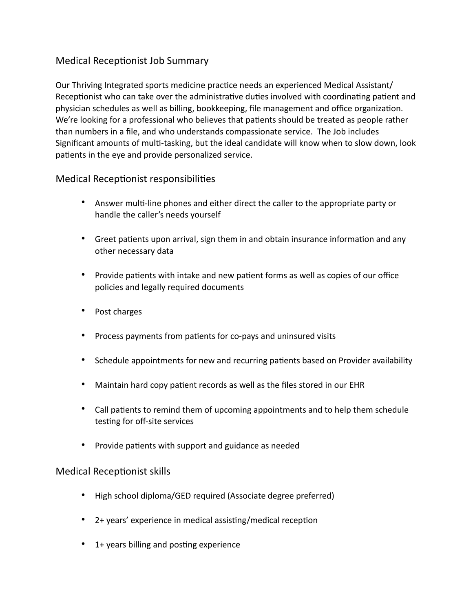## Medical Receptionist Job Summary

Our Thriving Integrated sports medicine practice needs an experienced Medical Assistant/ Receptionist who can take over the administrative duties involved with coordinating patient and physician schedules as well as billing, bookkeeping, file management and office organization. We're looking for a professional who believes that patients should be treated as people rather than numbers in a file, and who understands compassionate service. The Job includes Significant amounts of multi-tasking, but the ideal candidate will know when to slow down, look patients in the eye and provide personalized service.

## Medical Receptionist responsibilities

- Answer multi-line phones and either direct the caller to the appropriate party or handle the caller's needs yourself
- Greet patients upon arrival, sign them in and obtain insurance information and any other necessary data
- Provide patients with intake and new patient forms as well as copies of our office policies and legally required documents
- Post charges
- Process payments from patients for co-pays and uninsured visits
- Schedule appointments for new and recurring patients based on Provider availability
- Maintain hard copy patient records as well as the files stored in our EHR
- Call patients to remind them of upcoming appointments and to help them schedule testing for off-site services
- Provide patients with support and guidance as needed

## Medical Receptionist skills

- High school diploma/GED required (Associate degree preferred)
- 2+ years' experience in medical assisting/medical reception
- 1+ years billing and posting experience